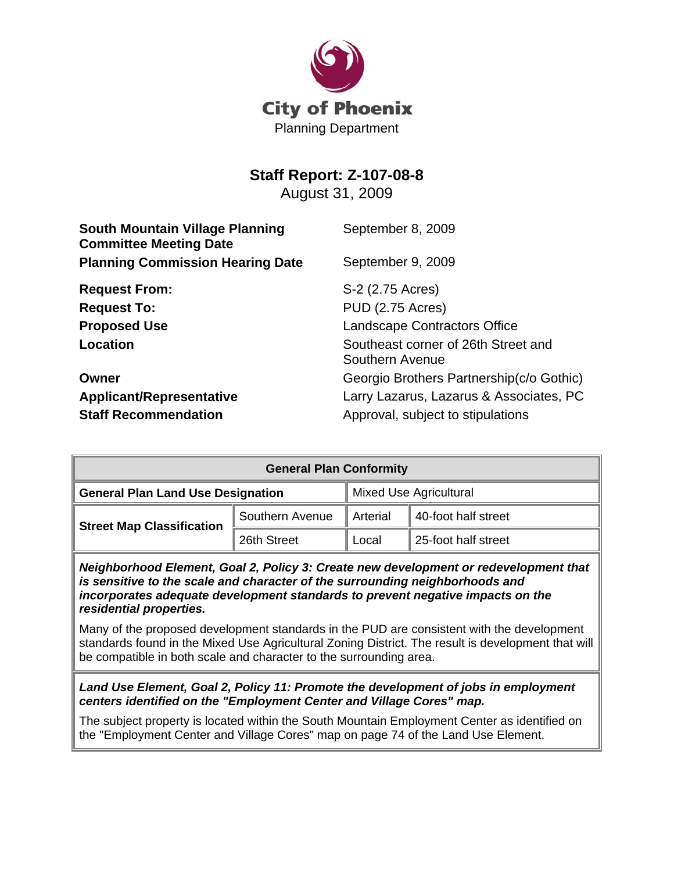

## **Staff Report: Z-107-08-8**

August 31, 2009

| <b>South Mountain Village Planning</b><br><b>Committee Meeting Date</b> | September 8, 2009                                      |
|-------------------------------------------------------------------------|--------------------------------------------------------|
| <b>Planning Commission Hearing Date</b>                                 | September 9, 2009                                      |
| <b>Request From:</b>                                                    | S-2 (2.75 Acres)                                       |
| <b>Request To:</b>                                                      | <b>PUD (2.75 Acres)</b>                                |
| <b>Proposed Use</b>                                                     | <b>Landscape Contractors Office</b>                    |
| Location                                                                | Southeast corner of 26th Street and<br>Southern Avenue |
| Owner                                                                   | Georgio Brothers Partnership(c/o Gothic)               |
| <b>Applicant/Representative</b>                                         | Larry Lazarus, Lazarus & Associates, PC                |
| <b>Staff Recommendation</b>                                             | Approval, subject to stipulations                      |

| <b>General Plan Conformity</b>           |                 |                               |                     |  |  |
|------------------------------------------|-----------------|-------------------------------|---------------------|--|--|
| <b>General Plan Land Use Designation</b> |                 | <b>Mixed Use Agricultural</b> |                     |  |  |
| <b>Street Map Classification</b>         | Southern Avenue | Arterial                      | 40-foot half street |  |  |
|                                          | 26th Street     | Local                         | 25-foot half street |  |  |

*Neighborhood Element, Goal 2, Policy 3: Create new development or redevelopment that is sensitive to the scale and character of the surrounding neighborhoods and incorporates adequate development standards to prevent negative impacts on the residential properties.*

Many of the proposed development standards in the PUD are consistent with the development standards found in the Mixed Use Agricultural Zoning District. The result is development that will be compatible in both scale and character to the surrounding area.

*Land Use Element, Goal 2, Policy 11: Promote the development of jobs in employment centers identified on the "Employment Center and Village Cores" map.*

The subject property is located within the South Mountain Employment Center as identified on the "Employment Center and Village Cores" map on page 74 of the Land Use Element.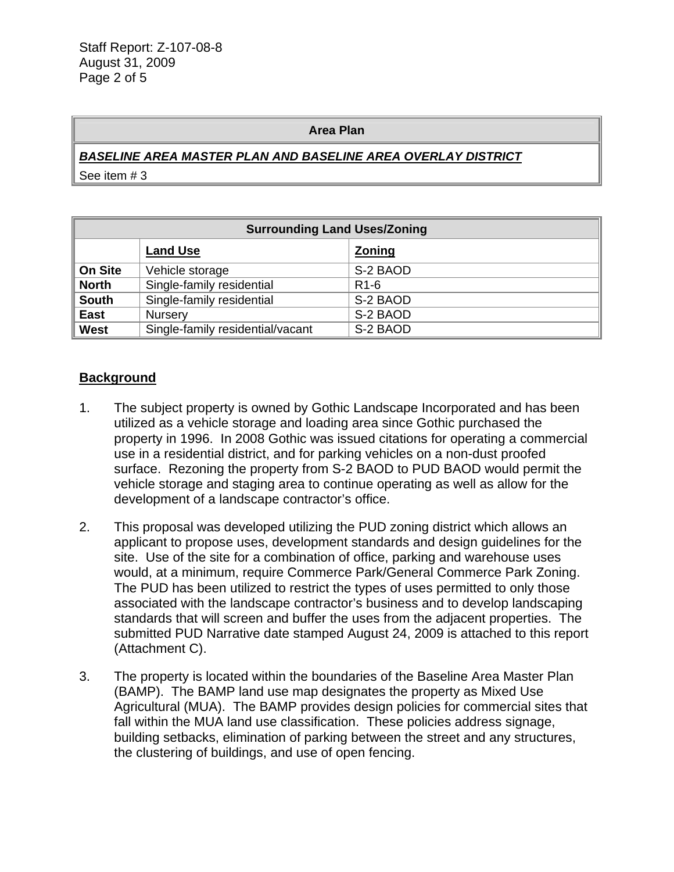#### **Area Plan**

## *BASELINE AREA MASTER PLAN AND BASELINE AREA OVERLAY DISTRICT*

See item # 3

| <b>Surrounding Land Uses/Zoning</b> |                                  |                   |
|-------------------------------------|----------------------------------|-------------------|
|                                     | <b>Land Use</b>                  | <b>Zoning</b>     |
| <b>On Site</b>                      | Vehicle storage                  | S-2 BAOD          |
| <b>North</b>                        | Single-family residential        | R <sub>1</sub> -6 |
| <b>South</b>                        | Single-family residential        | S-2 BAOD          |
| <b>East</b>                         | Nursery                          | S-2 BAOD          |
| <b>West</b>                         | Single-family residential/vacant | S-2 BAOD          |

#### **Background**

- 1. The subject property is owned by Gothic Landscape Incorporated and has been utilized as a vehicle storage and loading area since Gothic purchased the property in 1996. In 2008 Gothic was issued citations for operating a commercial use in a residential district, and for parking vehicles on a non-dust proofed surface. Rezoning the property from S-2 BAOD to PUD BAOD would permit the vehicle storage and staging area to continue operating as well as allow for the development of a landscape contractor's office.
- 2. This proposal was developed utilizing the PUD zoning district which allows an applicant to propose uses, development standards and design guidelines for the site. Use of the site for a combination of office, parking and warehouse uses would, at a minimum, require Commerce Park/General Commerce Park Zoning. The PUD has been utilized to restrict the types of uses permitted to only those associated with the landscape contractor's business and to develop landscaping standards that will screen and buffer the uses from the adjacent properties. The submitted PUD Narrative date stamped August 24, 2009 is attached to this report (Attachment C).
- 3. The property is located within the boundaries of the Baseline Area Master Plan (BAMP). The BAMP land use map designates the property as Mixed Use Agricultural (MUA). The BAMP provides design policies for commercial sites that fall within the MUA land use classification. These policies address signage, building setbacks, elimination of parking between the street and any structures, the clustering of buildings, and use of open fencing.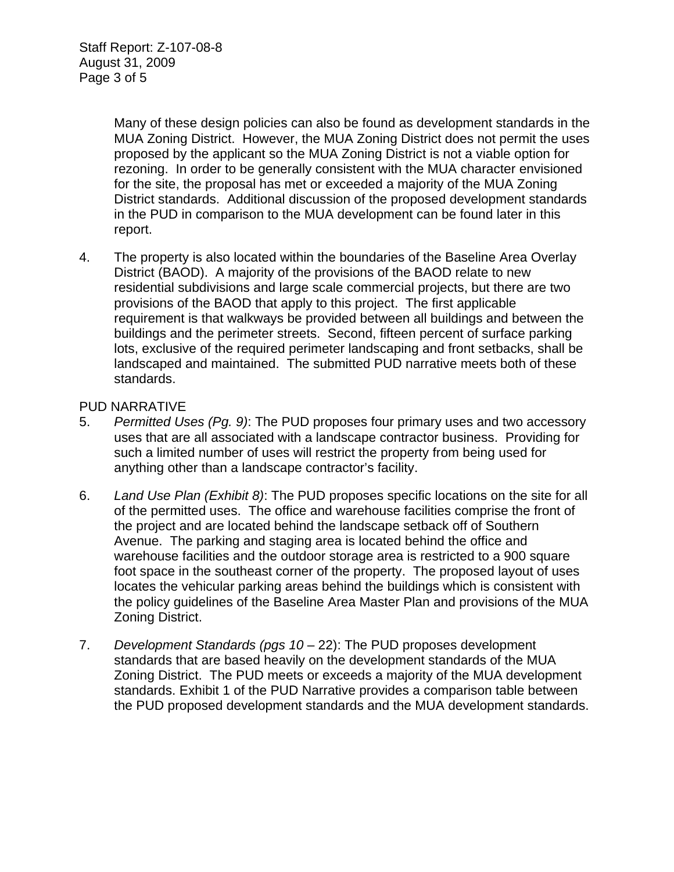Many of these design policies can also be found as development standards in the MUA Zoning District. However, the MUA Zoning District does not permit the uses proposed by the applicant so the MUA Zoning District is not a viable option for rezoning. In order to be generally consistent with the MUA character envisioned for the site, the proposal has met or exceeded a majority of the MUA Zoning District standards. Additional discussion of the proposed development standards in the PUD in comparison to the MUA development can be found later in this report.

4. The property is also located within the boundaries of the Baseline Area Overlay District (BAOD). A majority of the provisions of the BAOD relate to new residential subdivisions and large scale commercial projects, but there are two provisions of the BAOD that apply to this project. The first applicable requirement is that walkways be provided between all buildings and between the buildings and the perimeter streets. Second, fifteen percent of surface parking lots, exclusive of the required perimeter landscaping and front setbacks, shall be landscaped and maintained. The submitted PUD narrative meets both of these standards.

### PUD NARRATIVE

- 5. *Permitted Uses (Pg. 9)*: The PUD proposes four primary uses and two accessory uses that are all associated with a landscape contractor business. Providing for such a limited number of uses will restrict the property from being used for anything other than a landscape contractor's facility.
- 6. *Land Use Plan (Exhibit 8)*: The PUD proposes specific locations on the site for all of the permitted uses. The office and warehouse facilities comprise the front of the project and are located behind the landscape setback off of Southern Avenue. The parking and staging area is located behind the office and warehouse facilities and the outdoor storage area is restricted to a 900 square foot space in the southeast corner of the property. The proposed layout of uses locates the vehicular parking areas behind the buildings which is consistent with the policy guidelines of the Baseline Area Master Plan and provisions of the MUA Zoning District.
- 7. *Development Standards (pgs 10*  22): The PUD proposes development standards that are based heavily on the development standards of the MUA Zoning District. The PUD meets or exceeds a majority of the MUA development standards. Exhibit 1 of the PUD Narrative provides a comparison table between the PUD proposed development standards and the MUA development standards.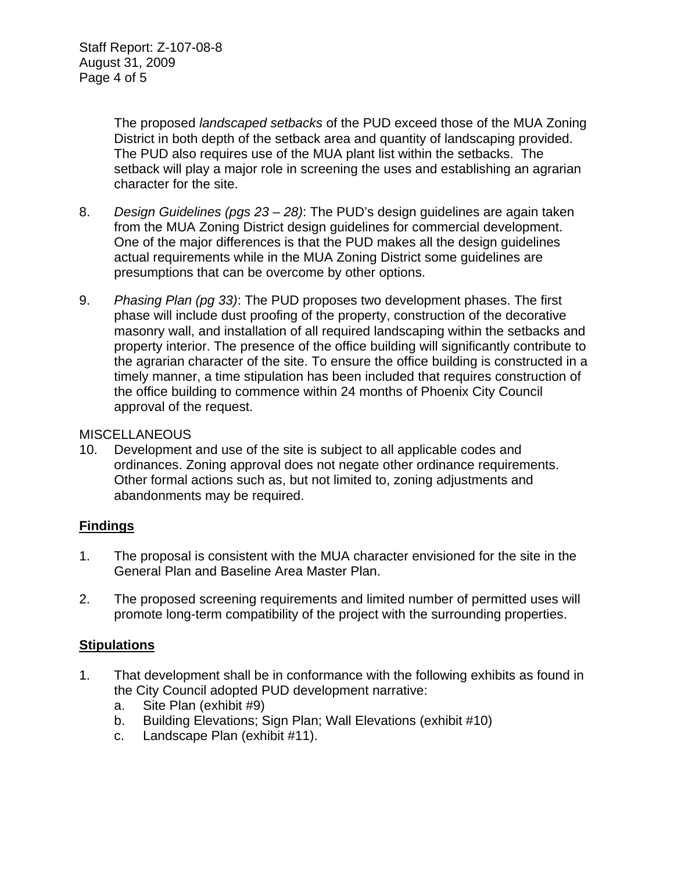The proposed *landscaped setbacks* of the PUD exceed those of the MUA Zoning District in both depth of the setback area and quantity of landscaping provided. The PUD also requires use of the MUA plant list within the setbacks. The setback will play a major role in screening the uses and establishing an agrarian character for the site.

- 8. *Design Guidelines (pgs 23 28)*: The PUD's design guidelines are again taken from the MUA Zoning District design guidelines for commercial development. One of the major differences is that the PUD makes all the design guidelines actual requirements while in the MUA Zoning District some guidelines are presumptions that can be overcome by other options.
- 9. *Phasing Plan (pg 33)*: The PUD proposes two development phases. The first phase will include dust proofing of the property, construction of the decorative masonry wall, and installation of all required landscaping within the setbacks and property interior. The presence of the office building will significantly contribute to the agrarian character of the site. To ensure the office building is constructed in a timely manner, a time stipulation has been included that requires construction of the office building to commence within 24 months of Phoenix City Council approval of the request.

#### **MISCELLANEOUS**

10. Development and use of the site is subject to all applicable codes and ordinances. Zoning approval does not negate other ordinance requirements. Other formal actions such as, but not limited to, zoning adjustments and abandonments may be required.

### **Findings**

- 1. The proposal is consistent with the MUA character envisioned for the site in the General Plan and Baseline Area Master Plan.
- 2. The proposed screening requirements and limited number of permitted uses will promote long-term compatibility of the project with the surrounding properties.

### **Stipulations**

- 1. That development shall be in conformance with the following exhibits as found in the City Council adopted PUD development narrative:
	- a. Site Plan (exhibit #9)
	- b. Building Elevations; Sign Plan; Wall Elevations (exhibit #10)
	- c. Landscape Plan (exhibit #11).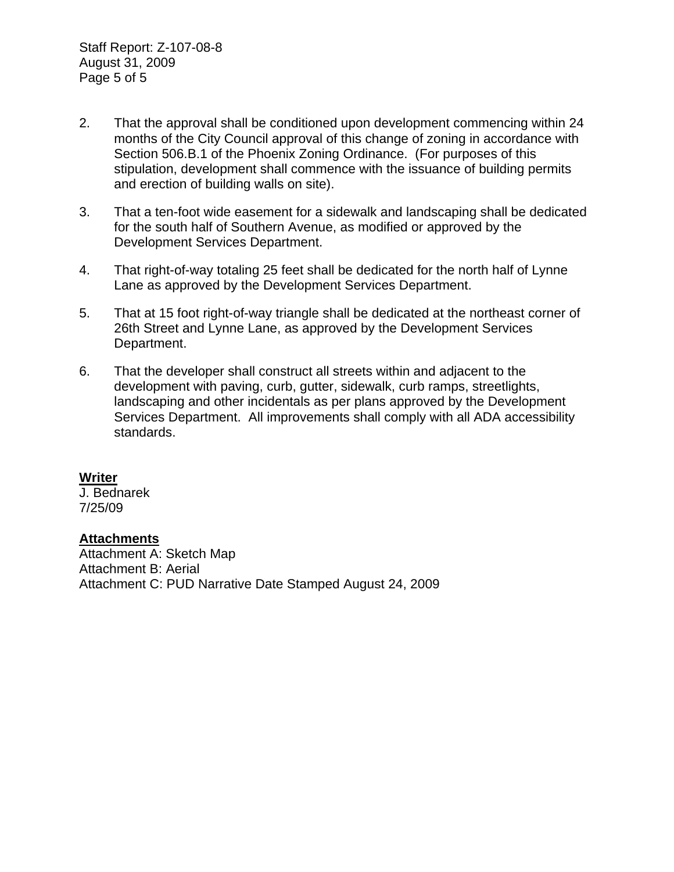- 2. That the approval shall be conditioned upon development commencing within 24 months of the City Council approval of this change of zoning in accordance with Section 506.B.1 of the Phoenix Zoning Ordinance. (For purposes of this stipulation, development shall commence with the issuance of building permits and erection of building walls on site).
- 3. That a ten-foot wide easement for a sidewalk and landscaping shall be dedicated for the south half of Southern Avenue, as modified or approved by the Development Services Department.
- 4. That right-of-way totaling 25 feet shall be dedicated for the north half of Lynne Lane as approved by the Development Services Department.
- 5. That at 15 foot right-of-way triangle shall be dedicated at the northeast corner of 26th Street and Lynne Lane, as approved by the Development Services Department.
- 6. That the developer shall construct all streets within and adjacent to the development with paving, curb, gutter, sidewalk, curb ramps, streetlights, landscaping and other incidentals as per plans approved by the Development Services Department. All improvements shall comply with all ADA accessibility standards.

### **Writer**

J. Bednarek 7/25/09

#### **Attachments**

Attachment A: Sketch Map Attachment B: Aerial Attachment C: PUD Narrative Date Stamped August 24, 2009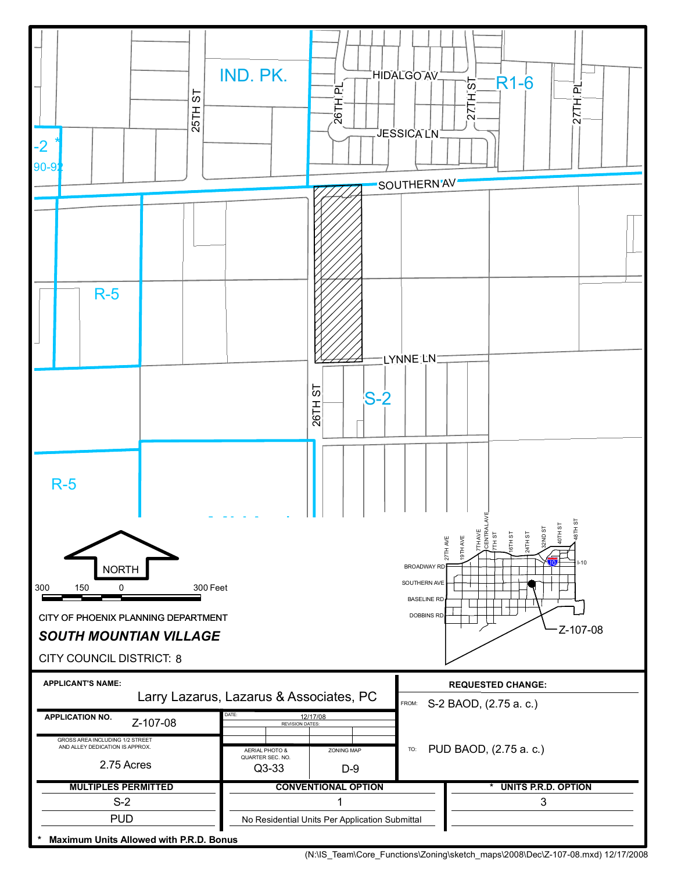

<sup>(</sup>N:\IS\_Team\Core\_Functions\Zoning\sketch\_maps\2008\Dec\Z-107-08.mxd) 12/17/2008